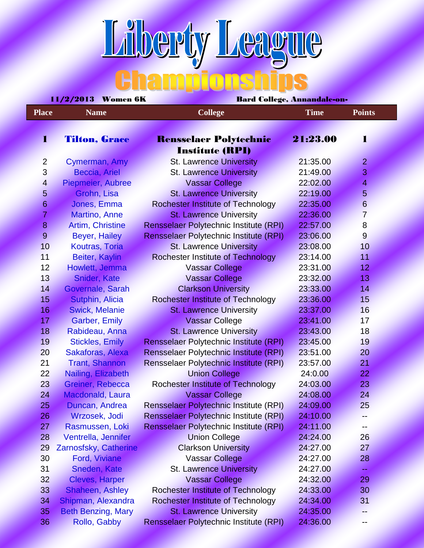## **Liberty League**

| 11/ <i>2</i> /2015 - Women o <b>n</b><br>- Dard Conege, Annandale-on |                           |                                               |             |                |  |  |
|----------------------------------------------------------------------|---------------------------|-----------------------------------------------|-------------|----------------|--|--|
| <b>Place</b>                                                         | <b>Name</b>               | <b>College</b>                                | <b>Time</b> | <b>Points</b>  |  |  |
|                                                                      |                           |                                               |             |                |  |  |
| T                                                                    | <b>Tilton, Grace</b>      | <b>Rensselaer Polytechnic</b>                 | 21:23.00    | 1              |  |  |
|                                                                      |                           | <b>Institute (RPI)</b>                        |             |                |  |  |
| $\overline{2}$                                                       | Cymerman, Amy             | <b>St. Lawrence University</b>                | 21:35.00    | $\overline{2}$ |  |  |
| 3                                                                    | <b>Beccia, Ariel</b>      | <b>St. Lawrence University</b>                | 21:49.00    | 3              |  |  |
| $\overline{4}$                                                       | Piepmeier, Aubree         | <b>Vassar College</b>                         | 22:02.00    | $\overline{4}$ |  |  |
| 5                                                                    | Grohn, Lisa               | <b>St. Lawrence University</b>                | 22:19.00    | $\overline{5}$ |  |  |
| 6                                                                    | Jones, Emma               | <b>Rochester Institute of Technology</b>      | 22:35.00    | $6\phantom{1}$ |  |  |
| $\overline{7}$                                                       | <b>Martino, Anne</b>      | <b>St. Lawrence University</b>                | 22:36.00    | $\overline{7}$ |  |  |
| $\overline{8}$                                                       | <b>Artim, Christine</b>   | Rensselaer Polytechnic Institute (RPI)        | 22:57.00    | $\overline{8}$ |  |  |
| 9                                                                    | Beyer, Hailey             | Rensselaer Polytechnic Institute (RPI)        | 23:06.00    | $\overline{9}$ |  |  |
| 10                                                                   | Koutras, Toria            | <b>St. Lawrence University</b>                | 23:08.00    | 10             |  |  |
| 11                                                                   | <b>Beiter, Kaylin</b>     | <b>Rochester Institute of Technology</b>      | 23:14.00    | 11             |  |  |
| 12                                                                   | Howlett, Jemma            | <b>Vassar College</b>                         | 23:31.00    | 12             |  |  |
| 13                                                                   | <b>Snider, Kate</b>       | <b>Vassar College</b>                         | 23:32.00    | 13             |  |  |
| 14                                                                   | Governale, Sarah          | <b>Clarkson University</b>                    | 23:33.00    | 14             |  |  |
| 15                                                                   | <b>Sutphin, Alicia</b>    | <b>Rochester Institute of Technology</b>      | 23:36.00    | 15             |  |  |
| 16                                                                   | <b>Swick, Melanie</b>     | <b>St. Lawrence University</b>                | 23:37.00    | 16             |  |  |
| 17                                                                   | <b>Garber, Emily</b>      | <b>Vassar College</b>                         | 23:41.00    | 17             |  |  |
| 18                                                                   | Rabideau, Anna            | <b>St. Lawrence University</b>                | 23:43.00    | 18             |  |  |
| 19                                                                   | Stickles, Emily           | Rensselaer Polytechnic Institute (RPI)        | 23:45.00    | 19             |  |  |
| 20                                                                   | Sakaforas, Alexa          | Rensselaer Polytechnic Institute (RPI)        | 23:51.00    | 20             |  |  |
| 21                                                                   | <b>Trant, Shannon</b>     | Rensselaer Polytechnic Institute (RPI)        | 23:57.00    | 21             |  |  |
| 22                                                                   | Nailing, Elizabeth        | <b>Union College</b>                          | 24:0.00     | 22             |  |  |
| 23                                                                   | Greiner, Rebecca          | <b>Rochester Institute of Technology</b>      | 24:03.00    | 23             |  |  |
| 24                                                                   | Macdonald, Laura          | <b>Vassar College</b>                         | 24:08.00    | 24             |  |  |
| 25                                                                   | Duncan, Andrea            | Rensselaer Polytechnic Institute (RPI)        | 24:09.00    | 25             |  |  |
| 26                                                                   | Wrzosek, Jodi             | <b>Rensselaer Polytechnic Institute (RPI)</b> | 24:10.00    |                |  |  |
| 27                                                                   | Rasmussen, Loki           | Rensselaer Polytechnic Institute (RPI)        | 24:11.00    |                |  |  |
| 28                                                                   | Ventrella, Jennifer       | <b>Union College</b>                          | 24:24.00    | 26             |  |  |
| 29                                                                   | Zarnosfsky, Catherine     | <b>Clarkson University</b>                    | 24:27.00    | 27             |  |  |
| 30                                                                   | <b>Ford, Viviane</b>      | <b>Vassar College</b>                         | 24:27.00    | 28             |  |  |
| 31                                                                   | Sneden, Kate              | <b>St. Lawrence University</b>                | 24:27.00    |                |  |  |
| 32                                                                   | <b>Cleves, Harper</b>     | <b>Vassar College</b>                         | 24:32.00    | 29             |  |  |
| 33                                                                   | Shaheen, Ashley           | <b>Rochester Institute of Technology</b>      | 24:33.00    | 30             |  |  |
| 34                                                                   | Shipman, Alexandra        | <b>Rochester Institute of Technology</b>      | 24:34.00    | 31             |  |  |
| 35                                                                   | <b>Beth Benzing, Mary</b> | <b>St. Lawrence University</b>                | 24:35.00    |                |  |  |
| 36                                                                   | Rollo, Gabby              | Rensselaer Polytechnic Institute (RPI)        | 24:36.00    | --             |  |  |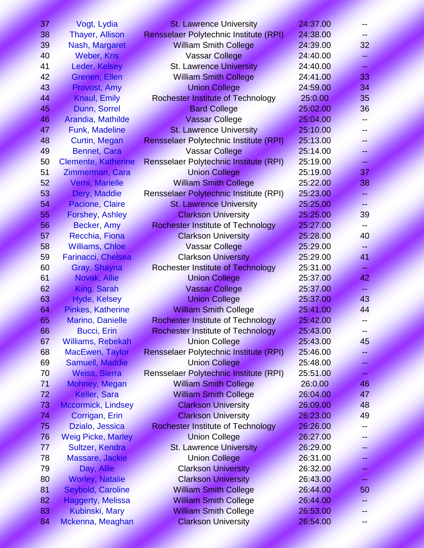| 37 | Vogt, Lydia                | <b>St. Lawrence University</b>                | 24:37.00 |    |
|----|----------------------------|-----------------------------------------------|----------|----|
| 38 | <b>Thayer, Allison</b>     | Rensselaer Polytechnic Institute (RPI)        | 24:38.00 |    |
| 39 | Nash, Margaret             | <b>William Smith College</b>                  | 24:39.00 | 32 |
| 40 | <b>Weber, Kris</b>         | <b>Vassar College</b>                         | 24:40.00 | 44 |
| 41 | Leder, Kelsey              | <b>St. Lawrence University</b>                | 24:40.00 |    |
| 42 | Grenen, Ellen              | <b>William Smith College</b>                  | 24:41.00 | 33 |
| 43 | Provost, Amy               | <b>Union College</b>                          | 24:59.00 | 34 |
| 44 | <b>Knaul, Emily</b>        | Rochester Institute of Technology             | 25:0.00  | 35 |
| 45 | Dunn, Sorrel               | <b>Bard College</b>                           | 25:02.00 | 36 |
| 46 | Arandia, Mathilde          | <b>Vassar College</b>                         | 25:04.00 | -- |
| 47 | <b>Funk, Madeline</b>      | <b>St. Lawrence University</b>                | 25:10.00 |    |
| 48 | Curtin, Megan              | Rensselaer Polytechnic Institute (RPI)        | 25:13.00 |    |
| 49 | <b>Bennet, Cara</b>        | <b>Vassar College</b>                         | 25:14.00 | 44 |
| 50 | <b>Clemente, Katherine</b> | <b>Rensselaer Polytechnic Institute (RPI)</b> | 25:19.00 | 44 |
| 51 | Zimmerman, Cara            | <b>Union College</b>                          | 25:19.00 | 37 |
| 52 | Verni, Marielle            | <b>William Smith College</b>                  | 25:22.00 | 38 |
| 53 | Dery, Maddie               | Rensselaer Polytechnic Institute (RPI)        | 25:23.00 | 44 |
| 54 | Pacione, Claire            | <b>St. Lawrence University</b>                | 25:25.00 | 44 |
| 55 | <b>Forshey, Ashley</b>     | <b>Clarkson University</b>                    | 25:25.00 | 39 |
| 56 | Becker, Amy                | <b>Rochester Institute of Technology</b>      | 25:27.00 | -- |
| 57 | Recchia, Fiona             | <b>Clarkson University</b>                    | 25:28.00 | 40 |
| 58 | <b>Williams, Chloe</b>     | <b>Vassar College</b>                         | 25:29.00 | -- |
| 59 | Farinacci, Chelsea         | <b>Clarkson University</b>                    | 25:29.00 | 41 |
| 60 | Gray, Shayna               | <b>Rochester Institute of Technology</b>      | 25:31.00 | 44 |
| 61 | Novak, Allie               | <b>Union College</b>                          | 25:37.00 | 42 |
| 62 | King, Sarah                | <b>Vassar College</b>                         | 25:37.00 |    |
| 63 | <b>Hyde, Kelsey</b>        | <b>Union College</b>                          | 25:37.00 | 43 |
| 64 | <b>Pinkes, Katherine</b>   | <b>William Smith College</b>                  | 25:41.00 | 44 |
| 65 | Marino, Danielle           | <b>Rochester Institute of Technology</b>      | 25:42.00 |    |
| 66 | <b>Bucci, Erin</b>         | <b>Rochester Institute of Technology</b>      | 25:43.00 | -- |
| 67 | <b>Williams, Rebekah</b>   | <b>Union College</b>                          | 25:43.00 | 45 |
| 68 | <b>MacEwen, Taylor</b>     | <b>Rensselaer Polytechnic Institute (RPI)</b> | 25:46.00 |    |
| 69 | <b>Samuell, Maddie</b>     | <b>Union College</b>                          | 25:48.00 | 44 |
| 70 | <b>Weiss, Sierra</b>       | <b>Rensselaer Polytechnic Institute (RPI)</b> | 25:51.00 |    |
| 71 | Mohney, Megan              | <b>William Smith College</b>                  | 26:0.00  | 46 |
| 72 | Keller, Sara               | <b>William Smith College</b>                  | 26:04.00 | 47 |
| 73 | <b>Mccormick, Lindsey</b>  | <b>Clarkson University</b>                    | 26:09.00 | 48 |
| 74 | Corrigan, Erin             | <b>Clarkson University</b>                    | 26:23.00 | 49 |
| 75 | Dzialo, Jessica            | <b>Rochester Institute of Technology</b>      | 26:26.00 |    |
| 76 | <b>Weig Picke, Marley</b>  | <b>Union College</b>                          | 26:27.00 |    |
| 77 | Sultzer, Kendra            | <b>St. Lawrence University</b>                | 26:29.00 | -- |
| 78 | Massare, Jackie            | <b>Union College</b>                          | 26:31.00 |    |
| 79 | Day, Allie                 | <b>Clarkson University</b>                    | 26:32.00 |    |
| 80 | <b>Worley, Natalie</b>     | <b>Clarkson University</b>                    | 26:43.00 |    |
| 81 | Seybold, Caroline          | <b>William Smith College</b>                  | 26:44.00 | 50 |
| 82 | <b>Haggerty, Melissa</b>   | <b>William Smith College</b>                  | 26:44.00 |    |
| 83 | Kubinski, Mary             | <b>William Smith College</b>                  | 26:53.00 |    |
| 84 | Mckenna, Meaghan           | <b>Clarkson University</b>                    | 26:54.00 | -- |